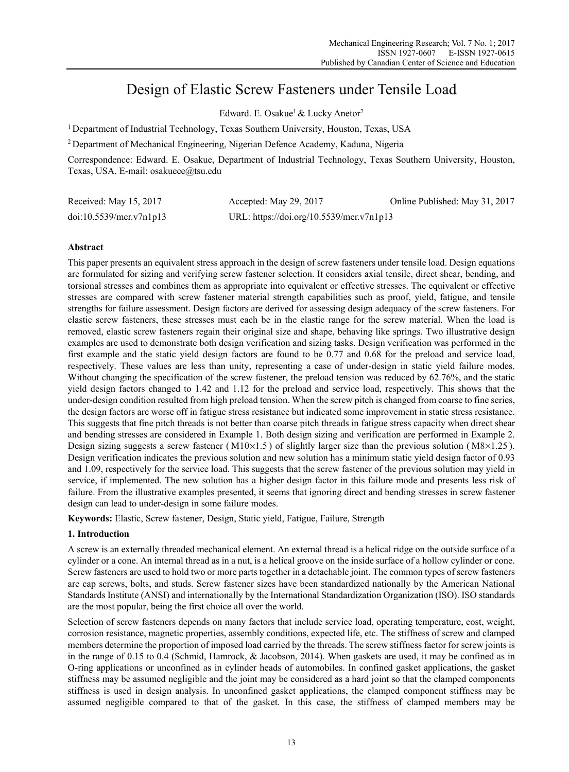# Design of Elastic Screw Fasteners under Tensile Load

Edward. E. Osakue<sup>1</sup> & Lucky Anetor<sup>2</sup>

1 Department of Industrial Technology, Texas Southern University, Houston, Texas, USA

2 Department of Mechanical Engineering, Nigerian Defence Academy, Kaduna, Nigeria

Correspondence: Edward. E. Osakue, Department of Industrial Technology, Texas Southern University, Houston, Texas, USA. E-mail: osakueee@tsu.edu

| Received: May 15, 2017  | Accepted: May 29, 2017                   | Online Published: May 31, 2017 |
|-------------------------|------------------------------------------|--------------------------------|
| doi:10.5539/mer.v7n1p13 | URL: https://doi.org/10.5539/mer.v7n1p13 |                                |

## **Abstract**

This paper presents an equivalent stress approach in the design of screw fasteners under tensile load. Design equations are formulated for sizing and verifying screw fastener selection. It considers axial tensile, direct shear, bending, and torsional stresses and combines them as appropriate into equivalent or effective stresses. The equivalent or effective stresses are compared with screw fastener material strength capabilities such as proof, yield, fatigue, and tensile strengths for failure assessment. Design factors are derived for assessing design adequacy of the screw fasteners. For elastic screw fasteners, these stresses must each be in the elastic range for the screw material. When the load is removed, elastic screw fasteners regain their original size and shape, behaving like springs. Two illustrative design examples are used to demonstrate both design verification and sizing tasks. Design verification was performed in the first example and the static yield design factors are found to be 0.77 and 0.68 for the preload and service load, respectively. These values are less than unity, representing a case of under-design in static yield failure modes. Without changing the specification of the screw fastener, the preload tension was reduced by 62.76%, and the static yield design factors changed to 1.42 and 1.12 for the preload and service load, respectively. This shows that the under-design condition resulted from high preload tension. When the screw pitch is changed from coarse to fine series, the design factors are worse off in fatigue stress resistance but indicated some improvement in static stress resistance. This suggests that fine pitch threads is not better than coarse pitch threads in fatigue stress capacity when direct shear and bending stresses are considered in Example 1. Both design sizing and verification are performed in Example 2. Design sizing suggests a screw fastener ( $M10\times1.5$ ) of slightly larger size than the previous solution ( $M8\times1.25$ ). Design verification indicates the previous solution and new solution has a minimum static yield design factor of 0.93 and 1.09, respectively for the service load. This suggests that the screw fastener of the previous solution may yield in service, if implemented. The new solution has a higher design factor in this failure mode and presents less risk of failure. From the illustrative examples presented, it seems that ignoring direct and bending stresses in screw fastener design can lead to under-design in some failure modes.

**Keywords:** Elastic, Screw fastener, Design, Static yield, Fatigue, Failure, Strength

## **1. Introduction**

A screw is an externally threaded mechanical element. An external thread is a helical ridge on the outside surface of a cylinder or a cone. An internal thread as in a nut, is a helical groove on the inside surface of a hollow cylinder or cone. Screw fasteners are used to hold two or more parts together in a detachable joint. The common types of screw fasteners are cap screws, bolts, and studs. Screw fastener sizes have been standardized nationally by the American National Standards Institute (ANSI) and internationally by the International Standardization Organization (ISO). ISO standards are the most popular, being the first choice all over the world.

Selection of screw fasteners depends on many factors that include service load, operating temperature, cost, weight, corrosion resistance, magnetic properties, assembly conditions, expected life, etc. The stiffness of screw and clamped members determine the proportion of imposed load carried by the threads. The screw stiffness factor for screw joints is in the range of 0.15 to 0.4 (Schmid, Hamrock, & Jacobson, 2014). When gaskets are used, it may be confined as in O-ring applications or unconfined as in cylinder heads of automobiles. In confined gasket applications, the gasket stiffness may be assumed negligible and the joint may be considered as a hard joint so that the clamped components stiffness is used in design analysis. In unconfined gasket applications, the clamped component stiffness may be assumed negligible compared to that of the gasket. In this case, the stiffness of clamped members may be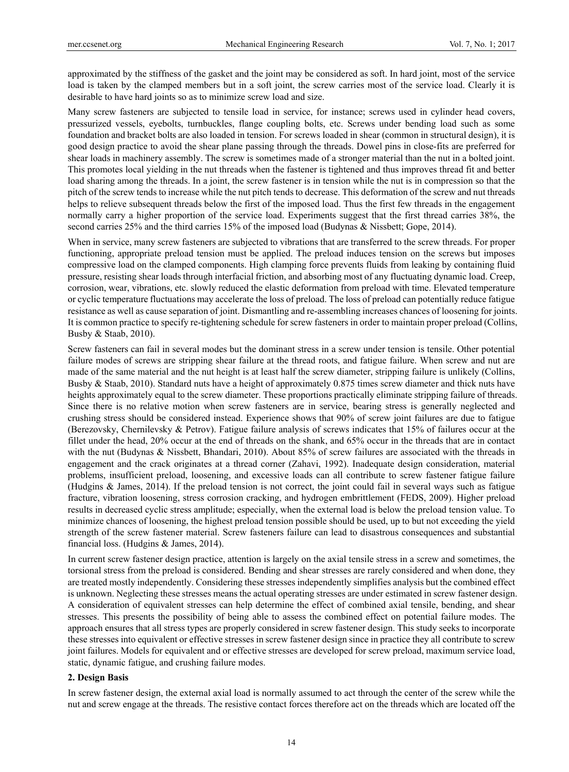approximated by the stiffness of the gasket and the joint may be considered as soft. In hard joint, most of the service load is taken by the clamped members but in a soft joint, the screw carries most of the service load. Clearly it is desirable to have hard joints so as to minimize screw load and size.

Many screw fasteners are subjected to tensile load in service, for instance; screws used in cylinder head covers, pressurized vessels, eyebolts, turnbuckles, flange coupling bolts, etc. Screws under bending load such as some foundation and bracket bolts are also loaded in tension. For screws loaded in shear (common in structural design), it is good design practice to avoid the shear plane passing through the threads. Dowel pins in close-fits are preferred for shear loads in machinery assembly. The screw is sometimes made of a stronger material than the nut in a bolted joint. This promotes local yielding in the nut threads when the fastener is tightened and thus improves thread fit and better load sharing among the threads. In a joint, the screw fastener is in tension while the nut is in compression so that the pitch of the screw tends to increase while the nut pitch tends to decrease. This deformation of the screw and nut threads helps to relieve subsequent threads below the first of the imposed load. Thus the first few threads in the engagement normally carry a higher proportion of the service load. Experiments suggest that the first thread carries 38%, the second carries 25% and the third carries 15% of the imposed load (Budynas & Nissbett; Gope, 2014).

When in service, many screw fasteners are subjected to vibrations that are transferred to the screw threads. For proper functioning, appropriate preload tension must be applied. The preload induces tension on the screws but imposes compressive load on the clamped components. High clamping force prevents fluids from leaking by containing fluid pressure, resisting shear loads through interfacial friction, and absorbing most of any fluctuating dynamic load. Creep, corrosion, wear, vibrations, etc. slowly reduced the elastic deformation from preload with time. Elevated temperature or cyclic temperature fluctuations may accelerate the loss of preload. The loss of preload can potentially reduce fatigue resistance as well as cause separation of joint. Dismantling and re-assembling increases chances of loosening for joints. It is common practice to specify re-tightening schedule for screw fasteners in order to maintain proper preload (Collins, Busby & Staab, 2010).

Screw fasteners can fail in several modes but the dominant stress in a screw under tension is tensile. Other potential failure modes of screws are stripping shear failure at the thread roots, and fatigue failure. When screw and nut are made of the same material and the nut height is at least half the screw diameter, stripping failure is unlikely (Collins, Busby & Staab, 2010). Standard nuts have a height of approximately 0.875 times screw diameter and thick nuts have heights approximately equal to the screw diameter. These proportions practically eliminate stripping failure of threads. Since there is no relative motion when screw fasteners are in service, bearing stress is generally neglected and crushing stress should be considered instead. Experience shows that 90% of screw joint failures are due to fatigue (Berezovsky, Chernilevsky & Petrov). Fatigue failure analysis of screws indicates that 15% of failures occur at the fillet under the head, 20% occur at the end of threads on the shank, and 65% occur in the threads that are in contact with the nut (Budynas & Nissbett, Bhandari, 2010). About 85% of screw failures are associated with the threads in engagement and the crack originates at a thread corner (Zahavi, 1992). Inadequate design consideration, material problems, insufficient preload, loosening, and excessive loads can all contribute to screw fastener fatigue failure (Hudgins & James, 2014). If the preload tension is not correct, the joint could fail in several ways such as fatigue fracture, vibration loosening, stress corrosion cracking, and hydrogen embrittlement (FEDS, 2009). Higher preload results in decreased cyclic stress amplitude; especially, when the external load is below the preload tension value. To minimize chances of loosening, the highest preload tension possible should be used, up to but not exceeding the yield strength of the screw fastener material. Screw fasteners failure can lead to disastrous consequences and substantial financial loss. (Hudgins & James, 2014).

In current screw fastener design practice, attention is largely on the axial tensile stress in a screw and sometimes, the torsional stress from the preload is considered. Bending and shear stresses are rarely considered and when done, they are treated mostly independently. Considering these stresses independently simplifies analysis but the combined effect is unknown. Neglecting these stresses means the actual operating stresses are under estimated in screw fastener design. A consideration of equivalent stresses can help determine the effect of combined axial tensile, bending, and shear stresses. This presents the possibility of being able to assess the combined effect on potential failure modes. The approach ensures that all stress types are properly considered in screw fastener design. This study seeks to incorporate these stresses into equivalent or effective stresses in screw fastener design since in practice they all contribute to screw joint failures. Models for equivalent and or effective stresses are developed for screw preload, maximum service load, static, dynamic fatigue, and crushing failure modes.

#### **2. Design Basis**

In screw fastener design, the external axial load is normally assumed to act through the center of the screw while the nut and screw engage at the threads. The resistive contact forces therefore act on the threads which are located off the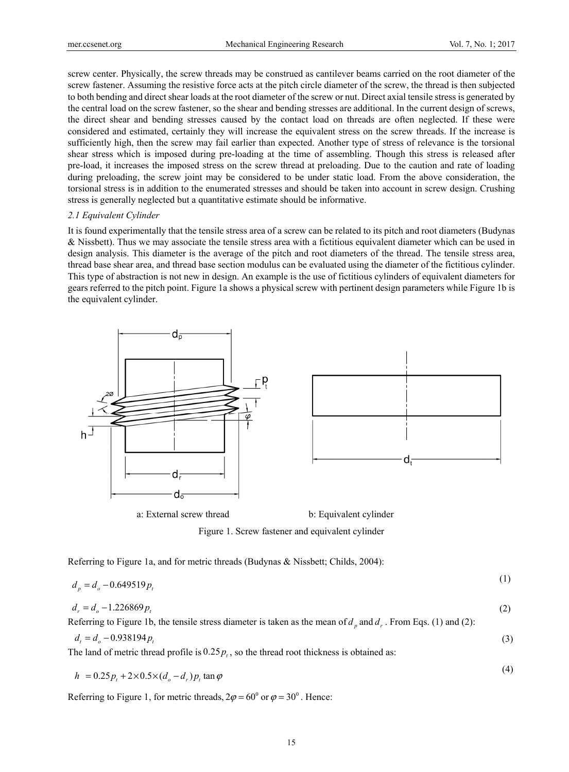screw center. Physically, the screw threads may be construed as cantilever beams carried on the root diameter of the screw fastener. Assuming the resistive force acts at the pitch circle diameter of the screw, the thread is then subjected to both bending and direct shear loads at the root diameter of the screw or nut. Direct axial tensile stress is generated by the central load on the screw fastener, so the shear and bending stresses are additional. In the current design of screws, the direct shear and bending stresses caused by the contact load on threads are often neglected. If these were considered and estimated, certainly they will increase the equivalent stress on the screw threads. If the increase is sufficiently high, then the screw may fail earlier than expected. Another type of stress of relevance is the torsional shear stress which is imposed during pre-loading at the time of assembling. Though this stress is released after pre-load, it increases the imposed stress on the screw thread at preloading. Due to the caution and rate of loading during preloading, the screw joint may be considered to be under static load. From the above consideration, the torsional stress is in addition to the enumerated stresses and should be taken into account in screw design. Crushing stress is generally neglected but a quantitative estimate should be informative.

#### *2.1 Equivalent Cylinder*

It is found experimentally that the tensile stress area of a screw can be related to its pitch and root diameters (Budynas & Nissbett). Thus we may associate the tensile stress area with a fictitious equivalent diameter which can be used in design analysis. This diameter is the average of the pitch and root diameters of the thread. The tensile stress area, thread base shear area, and thread base section modulus can be evaluated using the diameter of the fictitious cylinder. This type of abstraction is not new in design. An example is the use of fictitious cylinders of equivalent diameters for gears referred to the pitch point. Figure 1a shows a physical screw with pertinent design parameters while Figure 1b is the equivalent cylinder.



Figure 1. Screw fastener and equivalent cylinder

Referring to Figure 1a, and for metric threads (Budynas & Nissbett; Childs, 2004):

$$
d_p = d_o - 0.649519 p_t \tag{1}
$$

$$
d_r = d_o - 1.226869 p_t \tag{2}
$$

Referring to Figure 1b, the tensile stress diameter is taken as the mean of  $d<sub>n</sub>$  and  $d<sub>r</sub>$ . From Eqs. (1) and (2):

$$
d_t = d_o - 0.938194 p_t
$$
\n(3)

The land of metric thread profile is  $0.25 p_t$ , so the thread root thickness is obtained as:

$$
h = 0.25p_t + 2 \times 0.5 \times (d_o - d_r)p_t \tan \varphi
$$
\n(4)

Referring to Figure 1, for metric threads,  $2\varphi = 60^\circ$  or  $\varphi = 30^\circ$ . Hence: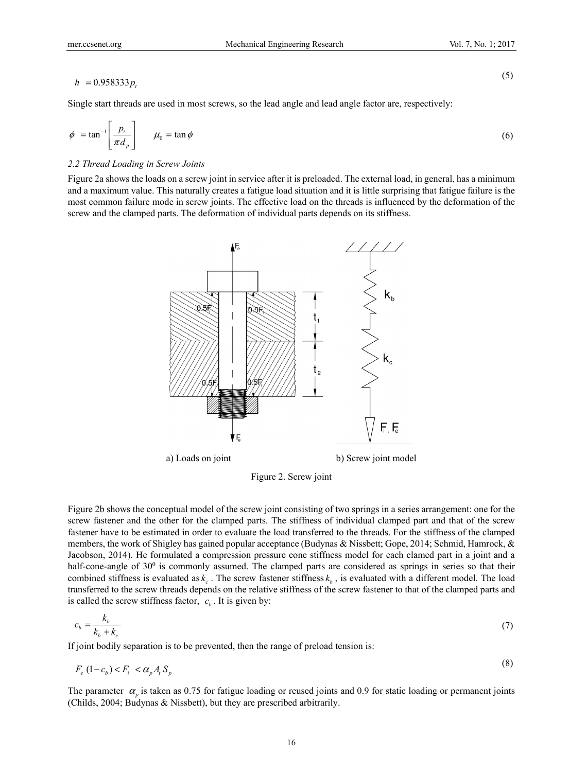$$
h = 0.958333 p_t \tag{5}
$$

Single start threads are used in most screws, so the lead angle and lead angle factor are, respectively:

$$
\phi = \tan^{-1} \left[ \frac{p_t}{\pi d_p} \right] \qquad \mu_0 = \tan \phi \tag{6}
$$

#### *2.2 Thread Loading in Screw Joints*

Figure 2a shows the loads on a screw joint in service after it is preloaded. The external load, in general, has a minimum and a maximum value. This naturally creates a fatigue load situation and it is little surprising that fatigue failure is the most common failure mode in screw joints. The effective load on the threads is influenced by the deformation of the screw and the clamped parts. The deformation of individual parts depends on its stiffness.



Figure 2. Screw joint

Figure 2b shows the conceptual model of the screw joint consisting of two springs in a series arrangement: one for the screw fastener and the other for the clamped parts. The stiffness of individual clamped part and that of the screw fastener have to be estimated in order to evaluate the load transferred to the threads. For the stiffness of the clamped members, the work of Shigley has gained popular acceptance (Budynas & Nissbett; Gope, 2014; Schmid, Hamrock, & Jacobson, 2014). He formulated a compression pressure cone stiffness model for each clamed part in a joint and a half-cone-angle of  $30^0$  is commonly assumed. The clamped parts are considered as springs in series so that their combined stiffness is evaluated as  $k_e$ . The screw fastener stiffness  $k_h$ , is evaluated with a different model. The load transferred to the screw threads depends on the relative stiffness of the screw fastener to that of the clamped parts and is called the screw stiffness factor,  $c<sub>b</sub>$ . It is given by:

$$
c_b = \frac{k_b}{k_b + k_c} \tag{7}
$$

If joint bodily separation is to be prevented, then the range of preload tension is:

$$
F_e (1 - c_b) < F_i < \alpha_p A_i S_p \tag{8}
$$

The parameter  $\alpha_n$  is taken as 0.75 for fatigue loading or reused joints and 0.9 for static loading or permanent joints (Childs, 2004; Budynas & Nissbett), but they are prescribed arbitrarily.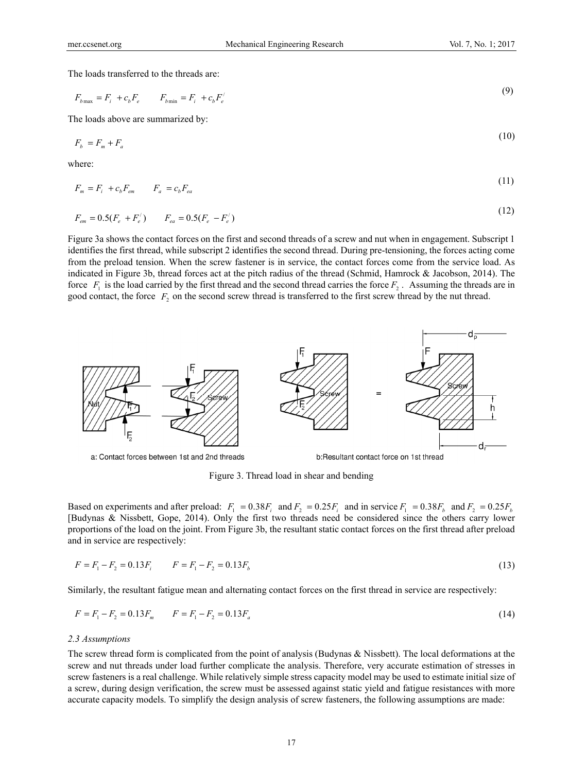The loads transferred to the threads are:

$$
F_{b\max} = F_i + c_b F_e \qquad F_{b\min} = F_i + c_b F_e' \tag{9}
$$

The loads above are summarized by:

$$
F_b = F_m + F_a \tag{10}
$$

where:

$$
F_m = F_i + c_b F_{em} \qquad F_a = c_b F_{ea} \tag{11}
$$

$$
F_{em} = 0.5(F_e + F_e') \qquad F_{ea} = 0.5(F_e - F_e') \tag{12}
$$

Figure 3a shows the contact forces on the first and second threads of a screw and nut when in engagement. Subscript 1 identifies the first thread, while subscript 2 identifies the second thread. During pre-tensioning, the forces acting come from the preload tension. When the screw fastener is in service, the contact forces come from the service load. As indicated in Figure 3b, thread forces act at the pitch radius of the thread (Schmid, Hamrock & Jacobson, 2014). The force  $F_1$  is the load carried by the first thread and the second thread carries the force  $F_2$ . Assuming the threads are in good contact, the force  $F_2$  on the second screw thread is transferred to the first screw thread by the nut thread.



Figure 3. Thread load in shear and bending

Based on experiments and after preload:  $F_1 = 0.38 F_i$  and  $F_2 = 0.25 F_i$  and in service  $F_1 = 0.38 F_b$  and  $F_2 = 0.25 F_b$ [Budynas & Nissbett, Gope, 2014). Only the first two threads need be considered since the others carry lower proportions of the load on the joint. From Figure 3b, the resultant static contact forces on the first thread after preload and in service are respectively:

$$
F = F_1 - F_2 = 0.13F_i \qquad F = F_1 - F_2 = 0.13F_b \tag{13}
$$

Similarly, the resultant fatigue mean and alternating contact forces on the first thread in service are respectively:

$$
F = F_1 - F_2 = 0.13F_m \qquad F = F_1 - F_2 = 0.13F_a \tag{14}
$$

#### *2.3 Assumptions*

The screw thread form is complicated from the point of analysis (Budynas & Nissbett). The local deformations at the screw and nut threads under load further complicate the analysis. Therefore, very accurate estimation of stresses in screw fasteners is a real challenge. While relatively simple stress capacity model may be used to estimate initial size of a screw, during design verification, the screw must be assessed against static yield and fatigue resistances with more accurate capacity models. To simplify the design analysis of screw fasteners, the following assumptions are made: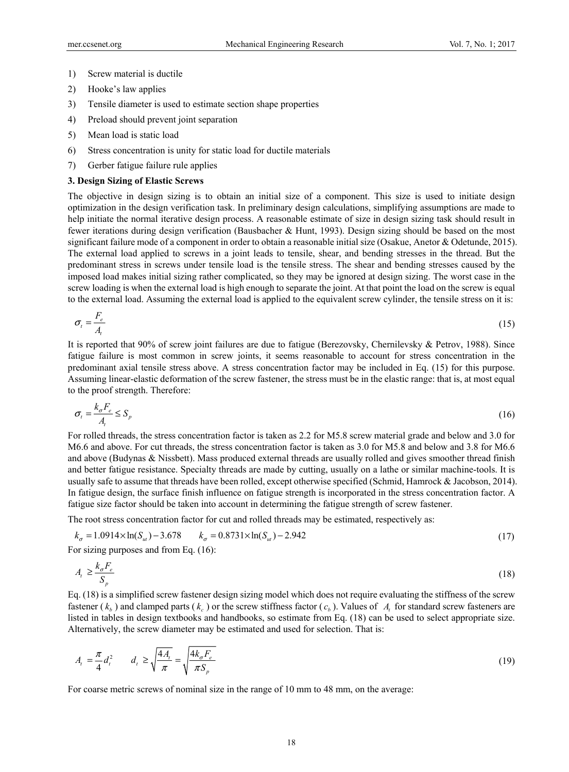- 1) Screw material is ductile
- 2) Hooke's law applies
- 3) Tensile diameter is used to estimate section shape properties
- 4) Preload should prevent joint separation
- 5) Mean load is static load
- 6) Stress concentration is unity for static load for ductile materials
- 7) Gerber fatigue failure rule applies

## **3. Design Sizing of Elastic Screws**

The objective in design sizing is to obtain an initial size of a component. This size is used to initiate design optimization in the design verification task. In preliminary design calculations, simplifying assumptions are made to help initiate the normal iterative design process. A reasonable estimate of size in design sizing task should result in fewer iterations during design verification (Bausbacher & Hunt, 1993). Design sizing should be based on the most significant failure mode of a component in order to obtain a reasonable initial size (Osakue, Anetor & Odetunde, 2015). The external load applied to screws in a joint leads to tensile, shear, and bending stresses in the thread. But the predominant stress in screws under tensile load is the tensile stress. The shear and bending stresses caused by the imposed load makes initial sizing rather complicated, so they may be ignored at design sizing. The worst case in the screw loading is when the external load is high enough to separate the joint. At that point the load on the screw is equal to the external load. Assuming the external load is applied to the equivalent screw cylinder, the tensile stress on it is:

$$
\sigma_{i} = \frac{F_{e}}{A_{i}} \tag{15}
$$

It is reported that 90% of screw joint failures are due to fatigue (Berezovsky, Chernilevsky & Petrov, 1988). Since fatigue failure is most common in screw joints, it seems reasonable to account for stress concentration in the predominant axial tensile stress above. A stress concentration factor may be included in Eq. (15) for this purpose. Assuming linear-elastic deformation of the screw fastener, the stress must be in the elastic range: that is, at most equal to the proof strength. Therefore:

$$
\sigma_t = \frac{k_\sigma F_e}{A_t} \le S_p \tag{16}
$$

For rolled threads, the stress concentration factor is taken as 2.2 for M5.8 screw material grade and below and 3.0 for M6.6 and above. For cut threads, the stress concentration factor is taken as 3.0 for M5.8 and below and 3.8 for M6.6 and above (Budynas & Nissbett). Mass produced external threads are usually rolled and gives smoother thread finish and better fatigue resistance. Specialty threads are made by cutting, usually on a lathe or similar machine-tools. It is usually safe to assume that threads have been rolled, except otherwise specified (Schmid, Hamrock & Jacobson, 2014). In fatigue design, the surface finish influence on fatigue strength is incorporated in the stress concentration factor. A fatigue size factor should be taken into account in determining the fatigue strength of screw fastener.

The root stress concentration factor for cut and rolled threads may be estimated, respectively as:

$$
k_{\sigma} = 1.0914 \times \ln(S_u) - 3.678 \qquad k_{\sigma} = 0.8731 \times \ln(S_u) - 2.942 \tag{17}
$$

For sizing purposes and from Eq. (16):

$$
A_t \ge \frac{k_\sigma F_e}{S_p} \tag{18}
$$

Eq. (18) is a simplified screw fastener design sizing model which does not require evaluating the stiffness of the screw fastener ( $k_h$ ) and clamped parts ( $k_e$ ) or the screw stiffness factor ( $c_h$ ). Values of *A*, for standard screw fasteners are listed in tables in design textbooks and handbooks, so estimate from Eq. (18) can be used to select appropriate size. Alternatively, the screw diameter may be estimated and used for selection. That is:

$$
A_t = \frac{\pi}{4} d_t^2 \qquad d_t \ge \sqrt{\frac{4A_t}{\pi}} = \sqrt{\frac{4k_\sigma F_e}{\pi S_p}}
$$
\n<sup>(19)</sup>

For coarse metric screws of nominal size in the range of 10 mm to 48 mm, on the average: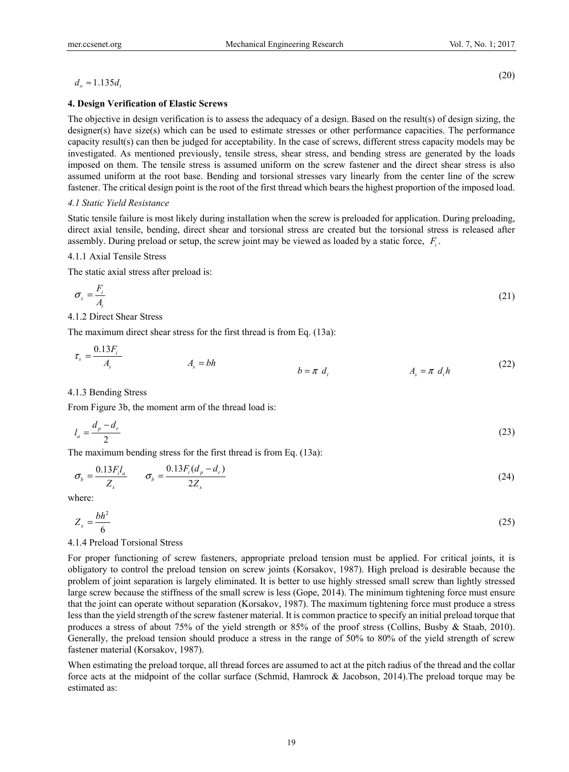# $d_o \approx 1.135 d_t$  (20)

## **4. Design Verification of Elastic Screws**

The objective in design verification is to assess the adequacy of a design. Based on the result(s) of design sizing, the designer(s) have size(s) which can be used to estimate stresses or other performance capacities. The performance capacity result(s) can then be judged for acceptability. In the case of screws, different stress capacity models may be investigated. As mentioned previously, tensile stress, shear stress, and bending stress are generated by the loads imposed on them. The tensile stress is assumed uniform on the screw fastener and the direct shear stress is also assumed uniform at the root base. Bending and torsional stresses vary linearly from the center line of the screw fastener. The critical design point is the root of the first thread which bears the highest proportion of the imposed load.

### *4.1 Static Yield Resistance*

Static tensile failure is most likely during installation when the screw is preloaded for application. During preloading, direct axial tensile, bending, direct shear and torsional stress are created but the torsional stress is released after assembly. During preload or setup, the screw joint may be viewed as loaded by a static force, *Fi* .

## 4.1.1 Axial Tensile Stress

The static axial stress after preload is:

$$
\sigma_z = \frac{F_i}{A_t} \tag{21}
$$

4.1.2 Direct Shear Stress

The maximum direct shear stress for the first thread is from Eq. (13a):

$$
\tau_s = \frac{0.13F_i}{A_s}
$$
\n
$$
A_s = bh
$$
\n
$$
b = \pi d_t
$$
\n
$$
A_s = \pi d_t h
$$
\n(22)

## 4.1.3 Bending Stress

From Figure 3b, the moment arm of the thread load is:

$$
l_a = \frac{d_p - d_r}{2} \tag{23}
$$

The maximum bending stress for the first thread is from Eq. (13a):

$$
\sigma_b = \frac{0.13 F_i l_a}{Z_x} \qquad \sigma_b = \frac{0.13 F_i (d_p - d_r)}{2Z_x} \tag{24}
$$

where:

$$
Z_x = \frac{bh^2}{6} \tag{25}
$$

## 4.1.4 Preload Torsional Stress

For proper functioning of screw fasteners, appropriate preload tension must be applied. For critical joints, it is obligatory to control the preload tension on screw joints (Korsakov, 1987). High preload is desirable because the problem of joint separation is largely eliminated. It is better to use highly stressed small screw than lightly stressed large screw because the stiffness of the small screw is less (Gope, 2014). The minimum tightening force must ensure that the joint can operate without separation (Korsakov, 1987). The maximum tightening force must produce a stress less than the yield strength of the screw fastener material. It is common practice to specify an initial preload torque that produces a stress of about 75% of the yield strength or 85% of the proof stress (Collins, Busby & Staab, 2010). Generally, the preload tension should produce a stress in the range of 50% to 80% of the yield strength of screw fastener material (Korsakov, 1987).

When estimating the preload torque, all thread forces are assumed to act at the pitch radius of the thread and the collar force acts at the midpoint of the collar surface (Schmid, Hamrock & Jacobson, 2014).The preload torque may be estimated as: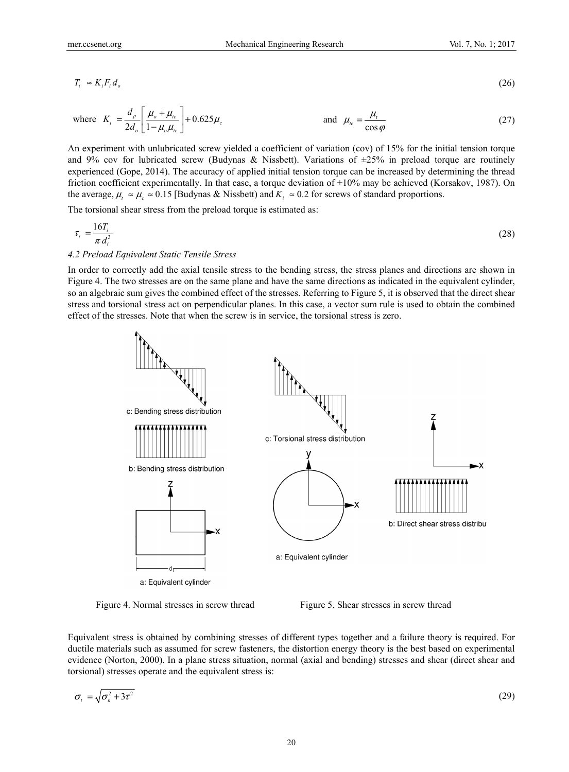$$
T_i \approx K_i F_i d_o \tag{26}
$$

where 
$$
K_i = \frac{d_p}{2d_o} \left[ \frac{\mu_o + \mu_{le}}{1 - \mu_o \mu_{le}} \right] + 0.625 \mu_c
$$
 and  $\mu_{le} = \frac{\mu_i}{\cos \varphi}$  (27)

An experiment with unlubricated screw yielded a coefficient of variation (cov) of 15% for the initial tension torque and 9% cov for lubricated screw (Budynas & Nissbett). Variations of  $\pm 25\%$  in preload torque are routinely experienced (Gope, 2014). The accuracy of applied initial tension torque can be increased by determining the thread friction coefficient experimentally. In that case, a torque deviation of ±10% may be achieved (Korsakov, 1987). On the average,  $\mu_t \approx \mu_c \approx 0.15$  [Budynas & Nissbett) and  $K_i \approx 0.2$  for screws of standard proportions.

The torsional shear stress from the preload torque is estimated as:

$$
\tau_{\iota} = \frac{16T_{\iota}}{\pi d_{\iota}^3} \tag{28}
$$

#### *4.2 Preload Equivalent Static Tensile Stress*

In order to correctly add the axial tensile stress to the bending stress, the stress planes and directions are shown in Figure 4. The two stresses are on the same plane and have the same directions as indicated in the equivalent cylinder, so an algebraic sum gives the combined effect of the stresses. Referring to Figure 5, it is observed that the direct shear stress and torsional stress act on perpendicular planes. In this case, a vector sum rule is used to obtain the combined effect of the stresses. Note that when the screw is in service, the torsional stress is zero.



Figure 4. Normal stresses in screw thread Figure 5. Shear stresses in screw thread

Equivalent stress is obtained by combining stresses of different types together and a failure theory is required. For ductile materials such as assumed for screw fasteners, the distortion energy theory is the best based on experimental evidence (Norton, 2000). In a plane stress situation, normal (axial and bending) stresses and shear (direct shear and torsional) stresses operate and the equivalent stress is:

$$
\sigma_t = \sqrt{\sigma_n^2 + 3\tau^2} \tag{29}
$$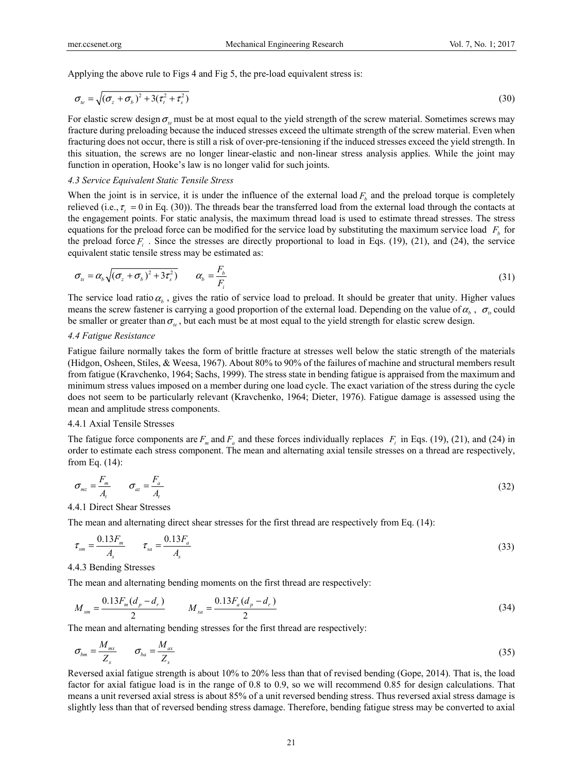Applying the above rule to Figs 4 and Fig 5, the pre-load equivalent stress is:

$$
\sigma_{ie} = \sqrt{(\sigma_z + \sigma_b)^2 + 3(\tau_i^2 + \tau_s^2)}
$$
\n(30)

For elastic screw design σ<sub>*ie*</sub> must be at most equal to the yield strength of the screw material. Sometimes screws may fracture during preloading because the induced stresses exceed the ultimate strength of the screw material. Even when fracturing does not occur, there is still a risk of over-pre-tensioning if the induced stresses exceed the yield strength. In this situation, the screws are no longer linear-elastic and non-linear stress analysis applies. While the joint may function in operation, Hooke's law is no longer valid for such joints.

#### *4.3 Service Equivalent Static Tensile Stress*

When the joint is in service, it is under the influence of the external load  $F<sub>b</sub>$  and the preload torque is completely relieved (i.e.,  $\tau_{\text{r}} = 0$  in Eq. (30)). The threads bear the transferred load from the external load through the contacts at the engagement points. For static analysis, the maximum thread load is used to estimate thread stresses. The stress equations for the preload force can be modified for the service load by substituting the maximum service load  $F_b$  for the preload force  $F_i$ . Since the stresses are directly proportional to load in Eqs. (19), (21), and (24), the service equivalent static tensile stress may be estimated as:

$$
\sigma_{s} = \alpha_{b} \sqrt{(\sigma_{z} + \sigma_{b})^{2} + 3\tau_{s}^{2}} \qquad \alpha_{b} = \frac{F_{b}}{F_{i}}
$$
\n(31)

The service load ratio  $\alpha$ <sub>b</sub>, gives the ratio of service load to preload. It should be greater that unity. Higher values means the screw fastener is carrying a good proportion of the external load. Depending on the value of  $\alpha_b$ ,  $\sigma_b$  could be smaller or greater than  $\sigma_{te}$ , but each must be at most equal to the yield strength for elastic screw design.

#### *4.4 Fatigue Resistance*

Fatigue failure normally takes the form of brittle fracture at stresses well below the static strength of the materials (Hidgon, Osheen, Stiles, & Weesa, 1967). About 80% to 90% of the failures of machine and structural members result from fatigue (Kravchenko, 1964; Sachs, 1999). The stress state in bending fatigue is appraised from the maximum and minimum stress values imposed on a member during one load cycle. The exact variation of the stress during the cycle does not seem to be particularly relevant (Kravchenko, 1964; Dieter, 1976). Fatigue damage is assessed using the mean and amplitude stress components.

#### 4.4.1 Axial Tensile Stresses

The fatigue force components are  $F_m$  and  $F_a$  and these forces individually replaces  $F_i$  in Eqs. (19), (21), and (24) in order to estimate each stress component. The mean and alternating axial tensile stresses on a thread are respectively, from Eq. (14):

$$
\sigma_{m} = \frac{F_m}{A_t} \qquad \sigma_{az} = \frac{F_a}{A_t} \tag{32}
$$

4.4.1 Direct Shear Stresses

The mean and alternating direct shear stresses for the first thread are respectively from Eq. (14):

$$
\tau_{\rm sm} = \frac{0.13 F_{\rm m}}{A_{\rm s}} \qquad \tau_{\rm sa} = \frac{0.13 F_{\rm a}}{A_{\rm s}} \tag{33}
$$

#### 4.4.3 Bending Stresses

The mean and alternating bending moments on the first thread are respectively:

$$
M_{xm} = \frac{0.13F_m(d_p - d_r)}{2} \qquad M_{xa} = \frac{0.13F_a(d_p - d_r)}{2} \tag{34}
$$

The mean and alternating bending stresses for the first thread are respectively:

$$
\sigma_{bm} = \frac{M_{mx}}{Z_x} \qquad \sigma_{ba} = \frac{M_{ax}}{Z_x} \tag{35}
$$

Reversed axial fatigue strength is about 10% to 20% less than that of revised bending (Gope, 2014). That is, the load factor for axial fatigue load is in the range of 0.8 to 0.9, so we will recommend 0.85 for design calculations. That means a unit reversed axial stress is about 85% of a unit reversed bending stress. Thus reversed axial stress damage is slightly less than that of reversed bending stress damage. Therefore, bending fatigue stress may be converted to axial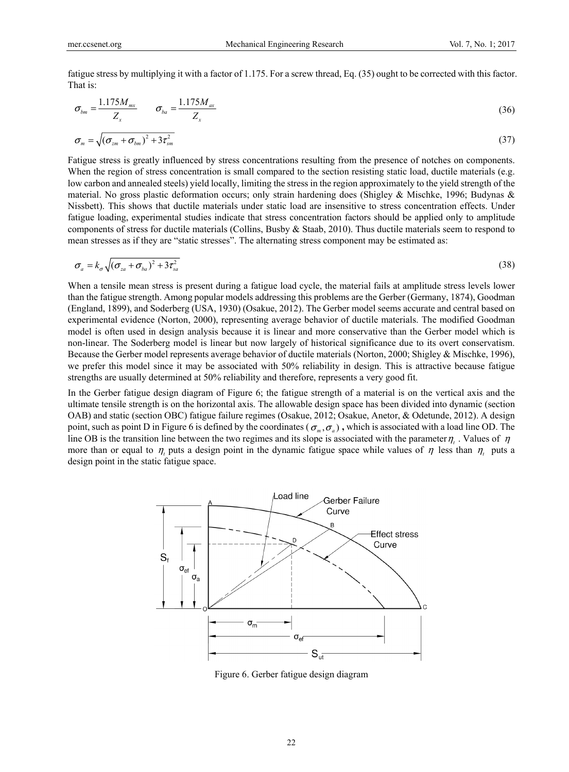fatigue stress by multiplying it with a factor of 1.175. For a screw thread, Eq. (35) ought to be corrected with this factor. That is:

$$
\sigma_{bm} = \frac{1.175M_{mx}}{Z_x} \qquad \sigma_{ba} = \frac{1.175M_{ax}}{Z_x}
$$
 (36)

$$
\sigma_m = \sqrt{(\sigma_{_{zm}} + \sigma_{_{bm}})^2 + 3\tau_{_{sm}}^2}
$$
\n(37)

Fatigue stress is greatly influenced by stress concentrations resulting from the presence of notches on components. When the region of stress concentration is small compared to the section resisting static load, ductile materials (e.g. low carbon and annealed steels) yield locally, limiting the stress in the region approximately to the yield strength of the material. No gross plastic deformation occurs; only strain hardening does (Shigley & Mischke, 1996; Budynas & Nissbett). This shows that ductile materials under static load are insensitive to stress concentration effects. Under fatigue loading, experimental studies indicate that stress concentration factors should be applied only to amplitude components of stress for ductile materials (Collins, Busby & Staab, 2010). Thus ductile materials seem to respond to mean stresses as if they are "static stresses". The alternating stress component may be estimated as:

$$
\sigma_a = k_\sigma \sqrt{(\sigma_{za} + \sigma_{ba})^2 + 3\tau_{sa}^2}
$$
\n(38)

When a tensile mean stress is present during a fatigue load cycle, the material fails at amplitude stress levels lower than the fatigue strength. Among popular models addressing this problems are the Gerber (Germany, 1874), Goodman (England, 1899), and Soderberg (USA, 1930) (Osakue, 2012). The Gerber model seems accurate and central based on experimental evidence (Norton, 2000), representing average behavior of ductile materials. The modified Goodman model is often used in design analysis because it is linear and more conservative than the Gerber model which is non-linear. The Soderberg model is linear but now largely of historical significance due to its overt conservatism. Because the Gerber model represents average behavior of ductile materials (Norton, 2000; Shigley & Mischke, 1996), we prefer this model since it may be associated with 50% reliability in design. This is attractive because fatigue strengths are usually determined at 50% reliability and therefore, represents a very good fit.

In the Gerber fatigue design diagram of Figure 6; the fatigue strength of a material is on the vertical axis and the ultimate tensile strength is on the horizontal axis. The allowable design space has been divided into dynamic (section OAB) and static (section OBC) fatigue failure regimes (Osakue, 2012; Osakue, Anetor, & Odetunde, 2012). A design point, such as point D in Figure 6 is defined by the coordinates ( $\sigma_m$ ,  $\sigma_a$ ), which is associated with a load line OD. The line OB is the transition line between the two regimes and its slope is associated with the parameter  $\eta$ . Values of  $\eta$ more than or equal to  $\eta$ , puts a design point in the dynamic fatigue space while values of  $\eta$  less than  $\eta$ , puts a design point in the static fatigue space.



Figure 6. Gerber fatigue design diagram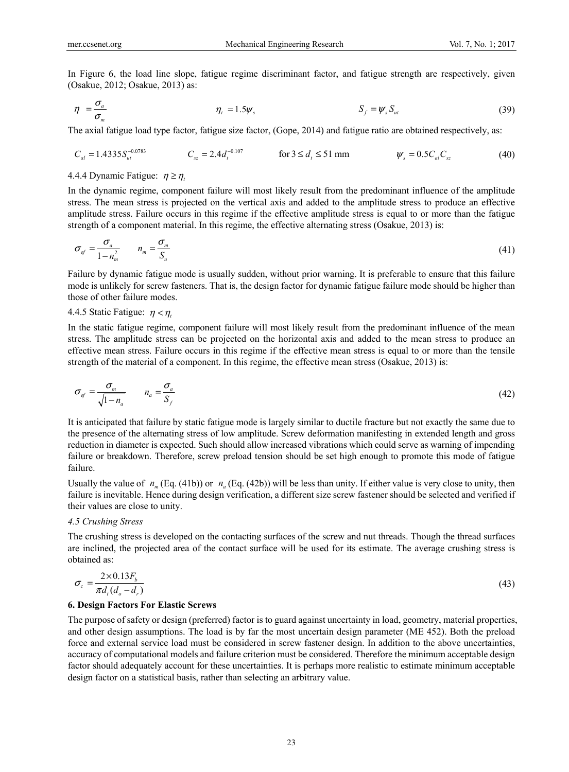In Figure 6, the load line slope, fatigue regime discriminant factor, and fatigue strength are respectively, given (Osakue, 2012; Osakue, 2013) as:

$$
\eta = \frac{\sigma_a}{\sigma_m} \qquad \eta_t = 1.5 \psi_s \qquad S_f = \psi_s S_u \qquad (39)
$$

The axial fatigue load type factor, fatigue size factor, (Gope, 2014) and fatigue ratio are obtained respectively, as:

$$
C_{al} = 1.4335 S_{ut}^{-0.0783} \t C_{sz} = 2.4 d_t^{-0.107} \t for  $3 \le d_t \le 51$  mm \t  $\psi_s = 0.5 C_{al} C_{sz}$  (40)
$$

## 4.4.4 Dynamic Fatigue:  $\eta \ge \eta$ .

In the dynamic regime, component failure will most likely result from the predominant influence of the amplitude stress. The mean stress is projected on the vertical axis and added to the amplitude stress to produce an effective amplitude stress. Failure occurs in this regime if the effective amplitude stress is equal to or more than the fatigue strength of a component material. In this regime, the effective alternating stress (Osakue, 2013) is:

$$
\sigma_{ef} = \frac{\sigma_a}{1 - n_m^2} \qquad n_m = \frac{\sigma_m}{S_u} \tag{41}
$$

Failure by dynamic fatigue mode is usually sudden, without prior warning. It is preferable to ensure that this failure mode is unlikely for screw fasteners. That is, the design factor for dynamic fatigue failure mode should be higher than those of other failure modes.

#### 4.4.5 Static Fatigue:  $\eta < \eta$ ,

In the static fatigue regime, component failure will most likely result from the predominant influence of the mean stress. The amplitude stress can be projected on the horizontal axis and added to the mean stress to produce an effective mean stress. Failure occurs in this regime if the effective mean stress is equal to or more than the tensile strength of the material of a component. In this regime, the effective mean stress (Osakue, 2013) is:

$$
\sigma_{ef} = \frac{\sigma_m}{\sqrt{1 - n_a}} \qquad n_a = \frac{\sigma_a}{S_f} \tag{42}
$$

It is anticipated that failure by static fatigue mode is largely similar to ductile fracture but not exactly the same due to the presence of the alternating stress of low amplitude. Screw deformation manifesting in extended length and gross reduction in diameter is expected. Such should allow increased vibrations which could serve as warning of impending failure or breakdown. Therefore, screw preload tension should be set high enough to promote this mode of fatigue failure.

Usually the value of  $n_m$  (Eq. (41b)) or  $n_a$  (Eq. (42b)) will be less than unity. If either value is very close to unity, then failure is inevitable. Hence during design verification, a different size screw fastener should be selected and verified if their values are close to unity.

## *4.5 Crushing Stress*

The crushing stress is developed on the contacting surfaces of the screw and nut threads. Though the thread surfaces are inclined, the projected area of the contact surface will be used for its estimate. The average crushing stress is obtained as:

$$
\sigma_c = \frac{2 \times 0.13 F_b}{\pi d_t (d_o - d_r)}\tag{43}
$$

## **6. Design Factors For Elastic Screws**

The purpose of safety or design (preferred) factor is to guard against uncertainty in load, geometry, material properties, and other design assumptions. The load is by far the most uncertain design parameter (ME 452). Both the preload force and external service load must be considered in screw fastener design. In addition to the above uncertainties, accuracy of computational models and failure criterion must be considered. Therefore the minimum acceptable design factor should adequately account for these uncertainties. It is perhaps more realistic to estimate minimum acceptable design factor on a statistical basis, rather than selecting an arbitrary value.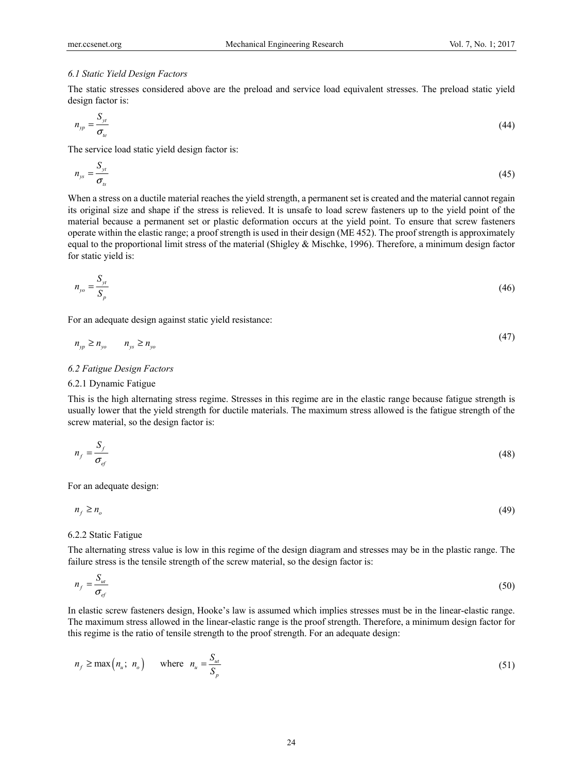## *6.1 Static Yield Design Factors*

The static stresses considered above are the preload and service load equivalent stresses. The preload static yield design factor is:

$$
n_{yp} = \frac{S_{yt}}{\sigma_{te}} \tag{44}
$$

The service load static yield design factor is:

$$
n_{ys} = \frac{S_{yt}}{\sigma_{ts}} \tag{45}
$$

When a stress on a ductile material reaches the yield strength, a permanent set is created and the material cannot regain its original size and shape if the stress is relieved. It is unsafe to load screw fasteners up to the yield point of the material because a permanent set or plastic deformation occurs at the yield point. To ensure that screw fasteners operate within the elastic range; a proof strength is used in their design (ME 452). The proof strength is approximately equal to the proportional limit stress of the material (Shigley & Mischke, 1996). Therefore, a minimum design factor for static yield is:

$$
n_{y0} = \frac{S_{yt}}{S_p} \tag{46}
$$

For an adequate design against static yield resistance:

$$
n_{yp} \ge n_{yo} \qquad n_{ys} \ge n_{yo} \tag{47}
$$

#### *6.2 Fatigue Design Factors*

### 6.2.1 Dynamic Fatigue

This is the high alternating stress regime. Stresses in this regime are in the elastic range because fatigue strength is usually lower that the yield strength for ductile materials. The maximum stress allowed is the fatigue strength of the screw material, so the design factor is:

$$
n_f = \frac{S_f}{\sigma_{ef}} \tag{48}
$$

For an adequate design:

$$
n_f \ge n_o \tag{49}
$$

#### 6.2.2 Static Fatigue

The alternating stress value is low in this regime of the design diagram and stresses may be in the plastic range. The failure stress is the tensile strength of the screw material, so the design factor is:

$$
n_f = \frac{S_{ut}}{\sigma_{ef}} \tag{50}
$$

In elastic screw fasteners design, Hooke's law is assumed which implies stresses must be in the linear-elastic range. The maximum stress allowed in the linear-elastic range is the proof strength. Therefore, a minimum design factor for this regime is the ratio of tensile strength to the proof strength. For an adequate design:

$$
n_f \ge \max\left(n_u; n_o\right) \qquad \text{where} \quad n_u = \frac{S_{ut}}{S_p} \tag{51}
$$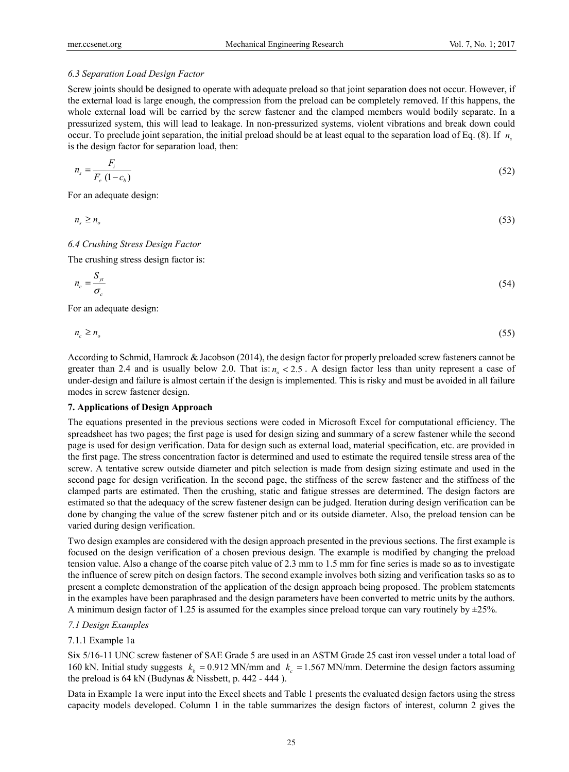## *6.3 Separation Load Design Factor*

Screw joints should be designed to operate with adequate preload so that joint separation does not occur. However, if the external load is large enough, the compression from the preload can be completely removed. If this happens, the whole external load will be carried by the screw fastener and the clamped members would bodily separate. In a pressurized system, this will lead to leakage. In non-pressurized systems, violent vibrations and break down could occur. To preclude joint separation, the initial preload should be at least equal to the separation load of Eq. (8). If *<sup>s</sup> n* is the design factor for separation load, then:

$$
n_s = \frac{F_i}{F_e (1 - c_b)}\tag{52}
$$

For an adequate design:

$$
n_s \ge n_o \tag{53}
$$

### *6.4 Crushing Stress Design Factor*

The crushing stress design factor is:

$$
n_c = \frac{S_{\rm yr}}{\sigma_c} \tag{54}
$$

For an adequate design:

$$
n_c \ge n_o \tag{55}
$$

According to Schmid, Hamrock & Jacobson (2014), the design factor for properly preloaded screw fasteners cannot be greater than 2.4 and is usually below 2.0. That is:  $n_{0} < 2.5$ . A design factor less than unity represent a case of under-design and failure is almost certain if the design is implemented. This is risky and must be avoided in all failure modes in screw fastener design.

### **7. Applications of Design Approach**

The equations presented in the previous sections were coded in Microsoft Excel for computational efficiency. The spreadsheet has two pages; the first page is used for design sizing and summary of a screw fastener while the second page is used for design verification. Data for design such as external load, material specification, etc. are provided in the first page. The stress concentration factor is determined and used to estimate the required tensile stress area of the screw. A tentative screw outside diameter and pitch selection is made from design sizing estimate and used in the second page for design verification. In the second page, the stiffness of the screw fastener and the stiffness of the clamped parts are estimated. Then the crushing, static and fatigue stresses are determined. The design factors are estimated so that the adequacy of the screw fastener design can be judged. Iteration during design verification can be done by changing the value of the screw fastener pitch and or its outside diameter. Also, the preload tension can be varied during design verification.

Two design examples are considered with the design approach presented in the previous sections. The first example is focused on the design verification of a chosen previous design. The example is modified by changing the preload tension value. Also a change of the coarse pitch value of 2.3 mm to 1.5 mm for fine series is made so as to investigate the influence of screw pitch on design factors. The second example involves both sizing and verification tasks so as to present a complete demonstration of the application of the design approach being proposed. The problem statements in the examples have been paraphrased and the design parameters have been converted to metric units by the authors. A minimum design factor of 1.25 is assumed for the examples since preload torque can vary routinely by  $\pm$ 25%.

## *7.1 Design Examples*

### 7.1.1 Example 1a

Six 5/16-11 UNC screw fastener of SAE Grade 5 are used in an ASTM Grade 25 cast iron vessel under a total load of 160 kN. Initial study suggests  $k_b = 0.912$  *MN/mm* and  $k_c = 1.567$  *MN/mm*. Determine the design factors assuming the preload is 64 kN (Budynas & Nissbett, p. 442 - 444 ).

Data in Example 1a were input into the Excel sheets and Table 1 presents the evaluated design factors using the stress capacity models developed. Column 1 in the table summarizes the design factors of interest, column 2 gives the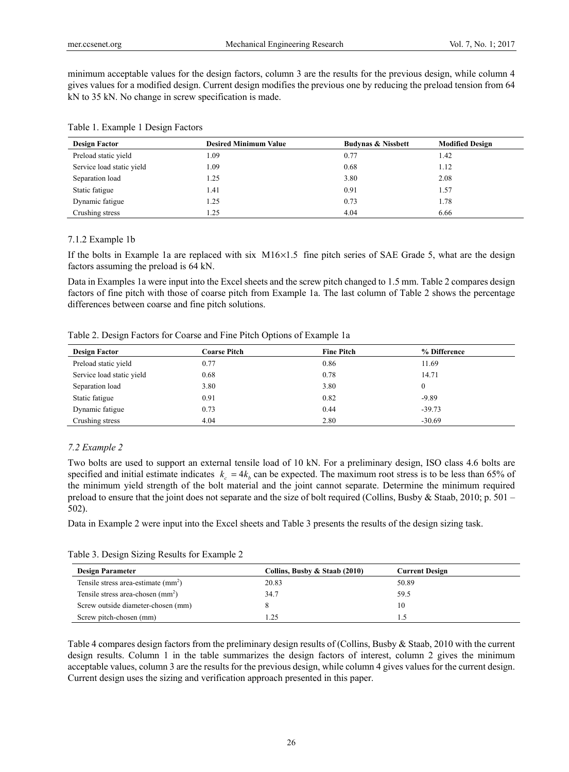minimum acceptable values for the design factors, column 3 are the results for the previous design, while column 4 gives values for a modified design. Current design modifies the previous one by reducing the preload tension from 64 kN to 35 kN. No change in screw specification is made.

| <b>Design Factor</b>      | <b>Desired Minimum Value</b> | <b>Budynas &amp; Nissbett</b> | <b>Modified Design</b> |
|---------------------------|------------------------------|-------------------------------|------------------------|
| Preload static yield      | 1.09                         | 0.77                          | 1.42                   |
| Service load static yield | 1.09                         | 0.68                          | 1.12                   |
| Separation load           | 1.25                         | 3.80                          | 2.08                   |
| Static fatigue            | 1.41                         | 0.91                          | 1.57                   |
| Dynamic fatigue           | 1.25                         | 0.73                          | 1.78                   |
| Crushing stress           | 1.25                         | 4.04                          | 6.66                   |

## Table 1. Example 1 Design Factors

## 7.1.2 Example 1b

If the bolts in Example 1a are replaced with six  $M16 \times 1.5$  fine pitch series of SAE Grade 5, what are the design factors assuming the preload is 64 kN.

Data in Examples 1a were input into the Excel sheets and the screw pitch changed to 1.5 mm. Table 2 compares design factors of fine pitch with those of coarse pitch from Example 1a. The last column of Table 2 shows the percentage differences between coarse and fine pitch solutions.

| <b>Design Factor</b>      | <b>Coarse Pitch</b> | <b>Fine Pitch</b> | % Difference |
|---------------------------|---------------------|-------------------|--------------|
| Preload static yield      | 0.77                | 0.86              | 11.69        |
| Service load static yield | 0.68                | 0.78              | 14.71        |
| Separation load           | 3.80                | 3.80              |              |
| Static fatigue            | 0.91                | 0.82              | $-9.89$      |
| Dynamic fatigue           | 0.73                | 0.44              | $-39.73$     |
| Crushing stress           | 4.04                | 2.80              | $-30.69$     |

Table 2. Design Factors for Coarse and Fine Pitch Options of Example 1a

### *7.2 Example 2*

Two bolts are used to support an external tensile load of 10 kN. For a preliminary design, ISO class 4.6 bolts are specified and initial estimate indicates  $k_c = 4k_b$  can be expected. The maximum root stress is to be less than 65% of the minimum yield strength of the bolt material and the joint cannot separate. Determine the minimum required preload to ensure that the joint does not separate and the size of bolt required (Collins, Busby & Staab, 2010; p. 501 – 502).

Data in Example 2 were input into the Excel sheets and Table 3 presents the results of the design sizing task.

| Table 3. Design Sizing Results for Example 2 |  |  |
|----------------------------------------------|--|--|
|----------------------------------------------|--|--|

| <b>Design Parameter</b>                      | Collins, Busby & Staab (2010) | <b>Current Design</b> |
|----------------------------------------------|-------------------------------|-----------------------|
| Tensile stress area-estimate $\text{(mm}^2)$ | 20.83                         | 50.89                 |
| Tensile stress area-chosen $\text{(mm}^2)$   | 34.7                          | 59.5                  |
| Screw outside diameter-chosen (mm)           |                               |                       |
| Screw pitch-chosen (mm)                      | .25                           |                       |

Table 4 compares design factors from the preliminary design results of (Collins, Busby & Staab, 2010 with the current design results. Column 1 in the table summarizes the design factors of interest, column 2 gives the minimum acceptable values, column 3 are the results for the previous design, while column 4 gives values for the current design. Current design uses the sizing and verification approach presented in this paper.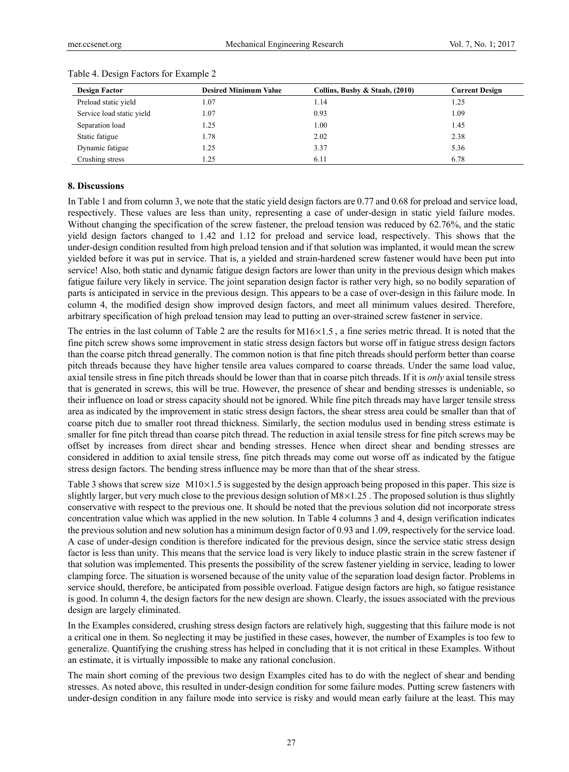| <b>Design Factor</b>      | <b>Desired Minimum Value</b> | Collins, Busby $\&$ Staab, (2010) | <b>Current Design</b> |
|---------------------------|------------------------------|-----------------------------------|-----------------------|
| Preload static yield      | 1.07                         | 1.14                              | 1.25                  |
| Service load static yield | 1.07                         | 0.93                              | 1.09                  |
| Separation load           | 1.25                         | 00.1                              | 1.45                  |
| Static fatigue            | 1.78                         | 2.02                              | 2.38                  |
| Dynamic fatigue           | 1.25                         | 3.37                              | 5.36                  |
| Crushing stress           | 1.25                         | 6.11                              | 6.78                  |

#### Table 4. Design Factors for Example 2

#### **8. Discussions**

In Table 1 and from column 3, we note that the static yield design factors are 0.77 and 0.68 for preload and service load, respectively. These values are less than unity, representing a case of under-design in static yield failure modes. Without changing the specification of the screw fastener, the preload tension was reduced by 62.76%, and the static yield design factors changed to 1.42 and 1.12 for preload and service load, respectively. This shows that the under-design condition resulted from high preload tension and if that solution was implanted, it would mean the screw yielded before it was put in service. That is, a yielded and strain-hardened screw fastener would have been put into service! Also, both static and dynamic fatigue design factors are lower than unity in the previous design which makes fatigue failure very likely in service. The joint separation design factor is rather very high, so no bodily separation of parts is anticipated in service in the previous design. This appears to be a case of over-design in this failure mode. In column 4, the modified design show improved design factors, and meet all minimum values desired. Therefore, arbitrary specification of high preload tension may lead to putting an over-strained screw fastener in service.

The entries in the last column of Table 2 are the results for  $M16 \times 1.5$ , a fine series metric thread. It is noted that the fine pitch screw shows some improvement in static stress design factors but worse off in fatigue stress design factors than the coarse pitch thread generally. The common notion is that fine pitch threads should perform better than coarse pitch threads because they have higher tensile area values compared to coarse threads. Under the same load value, axial tensile stress in fine pitch threads should be lower than that in coarse pitch threads. If it is *only* axial tensile stress that is generated in screws, this will be true. However, the presence of shear and bending stresses is undeniable, so their influence on load or stress capacity should not be ignored. While fine pitch threads may have larger tensile stress area as indicated by the improvement in static stress design factors, the shear stress area could be smaller than that of coarse pitch due to smaller root thread thickness. Similarly, the section modulus used in bending stress estimate is smaller for fine pitch thread than coarse pitch thread. The reduction in axial tensile stress for fine pitch screws may be offset by increases from direct shear and bending stresses. Hence when direct shear and bending stresses are considered in addition to axial tensile stress, fine pitch threads may come out worse off as indicated by the fatigue stress design factors. The bending stress influence may be more than that of the shear stress.

Table 3 shows that screw size  $M10 \times 1.5$  is suggested by the design approach being proposed in this paper. This size is slightly larger, but very much close to the previous design solution of  $M8 \times 1.25$ . The proposed solution is thus slightly conservative with respect to the previous one. It should be noted that the previous solution did not incorporate stress concentration value which was applied in the new solution. In Table 4 columns 3 and 4, design verification indicates the previous solution and new solution has a minimum design factor of 0.93 and 1.09, respectively for the service load. A case of under-design condition is therefore indicated for the previous design, since the service static stress design factor is less than unity. This means that the service load is very likely to induce plastic strain in the screw fastener if that solution was implemented. This presents the possibility of the screw fastener yielding in service, leading to lower clamping force. The situation is worsened because of the unity value of the separation load design factor. Problems in service should, therefore, be anticipated from possible overload. Fatigue design factors are high, so fatigue resistance is good. In column 4, the design factors for the new design are shown. Clearly, the issues associated with the previous design are largely eliminated.

In the Examples considered, crushing stress design factors are relatively high, suggesting that this failure mode is not a critical one in them. So neglecting it may be justified in these cases, however, the number of Examples is too few to generalize. Quantifying the crushing stress has helped in concluding that it is not critical in these Examples. Without an estimate, it is virtually impossible to make any rational conclusion.

The main short coming of the previous two design Examples cited has to do with the neglect of shear and bending stresses. As noted above, this resulted in under-design condition for some failure modes. Putting screw fasteners with under-design condition in any failure mode into service is risky and would mean early failure at the least. This may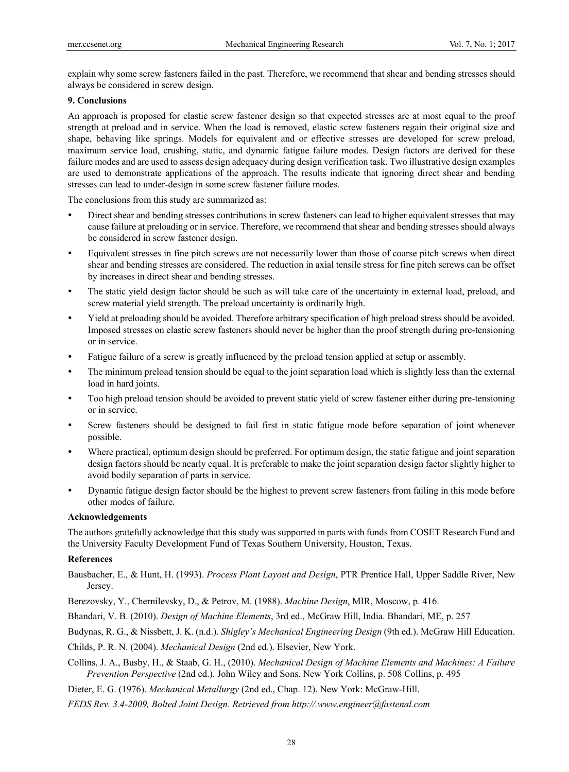explain why some screw fasteners failed in the past. Therefore, we recommend that shear and bending stresses should always be considered in screw design.

## **9. Conclusions**

An approach is proposed for elastic screw fastener design so that expected stresses are at most equal to the proof strength at preload and in service. When the load is removed, elastic screw fasteners regain their original size and shape, behaving like springs. Models for equivalent and or effective stresses are developed for screw preload, maximum service load, crushing, static, and dynamic fatigue failure modes. Design factors are derived for these failure modes and are used to assess design adequacy during design verification task. Two illustrative design examples are used to demonstrate applications of the approach. The results indicate that ignoring direct shear and bending stresses can lead to under-design in some screw fastener failure modes.

The conclusions from this study are summarized as:

- Direct shear and bending stresses contributions in screw fasteners can lead to higher equivalent stresses that may cause failure at preloading or in service. Therefore, we recommend that shear and bending stresses should always be considered in screw fastener design.
- Equivalent stresses in fine pitch screws are not necessarily lower than those of coarse pitch screws when direct shear and bending stresses are considered. The reduction in axial tensile stress for fine pitch screws can be offset by increases in direct shear and bending stresses.
- The static yield design factor should be such as will take care of the uncertainty in external load, preload, and screw material yield strength. The preload uncertainty is ordinarily high.
- Yield at preloading should be avoided. Therefore arbitrary specification of high preload stress should be avoided. Imposed stresses on elastic screw fasteners should never be higher than the proof strength during pre-tensioning or in service.
- Fatigue failure of a screw is greatly influenced by the preload tension applied at setup or assembly.
- The minimum preload tension should be equal to the joint separation load which is slightly less than the external load in hard joints.
- Too high preload tension should be avoided to prevent static yield of screw fastener either during pre-tensioning or in service.
- Screw fasteners should be designed to fail first in static fatigue mode before separation of joint whenever possible.
- Where practical, optimum design should be preferred. For optimum design, the static fatigue and joint separation design factors should be nearly equal. It is preferable to make the joint separation design factor slightly higher to avoid bodily separation of parts in service.
- Dynamic fatigue design factor should be the highest to prevent screw fasteners from failing in this mode before other modes of failure.

#### **Acknowledgements**

The authors gratefully acknowledge that this study was supported in parts with funds from COSET Research Fund and the University Faculty Development Fund of Texas Southern University, Houston, Texas.

## **References**

Bausbacher, E., & Hunt, H. (1993). *Process Plant Layout and Design*, PTR Prentice Hall, Upper Saddle River, New Jersey.

Berezovsky, Y., Chernilevsky, D., & Petrov, M. (1988). *Machine Design*, MIR, Moscow, p. 416.

Bhandari, V. B. (2010). *Design of Machine Elements*, 3rd ed., McGraw Hill, India. Bhandari, ME, p. 257

Budynas, R. G., & Nissbett, J. K. (n.d.). *Shigley's Mechanical Engineering Design* (9th ed.). McGraw Hill Education.

Childs, P. R. N. (2004). *Mechanical Design* (2nd ed.). Elsevier, New York.

Collins, J. A., Busby, H., & Staab, G. H., (2010). *Mechanical Design of Machine Elements and Machines: A Failure Prevention Perspective* (2nd ed.). John Wiley and Sons, New York Collins, p. 508 Collins, p. 495

Dieter, E. G. (1976). *Mechanical Metallurgy* (2nd ed., Chap. 12). New York: McGraw-Hill.

*FEDS Rev. 3.4-2009, Bolted Joint Design. Retrieved from http://.www.engineer@fastenal.com*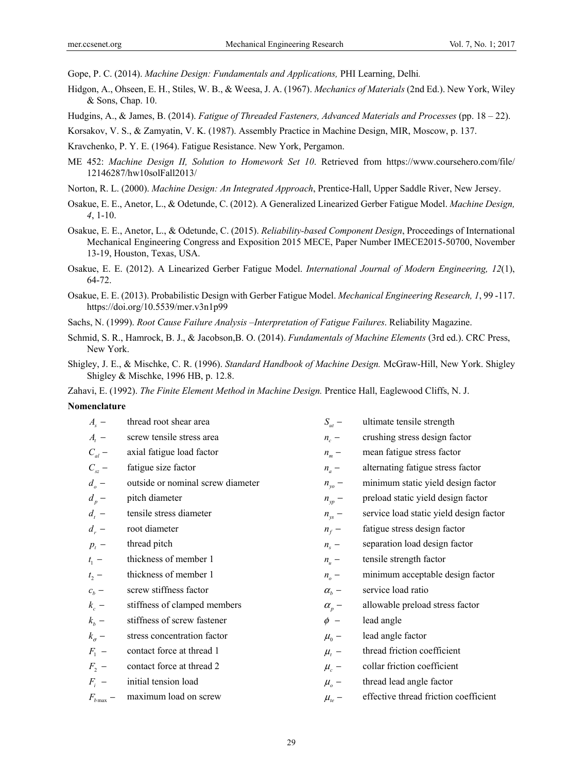Gope, P. C. (2014). *Machine Design: Fundamentals and Applications,* PHI Learning, Delhi*.* 

- Hidgon, A., Ohseen, E. H., Stiles, W. B., & Weesa, J. A. (1967). *Mechanics of Materials* (2nd Ed.). New York, Wiley & Sons, Chap. 10.
- Hudgins, A., & James, B. (2014). *Fatigue of Threaded Fasteners, Advanced Materials and Processes* (pp. 18 22).

Korsakov, V. S., & Zamyatin, V. K. (1987). Assembly Practice in Machine Design, MIR, Moscow, p. 137.

Kravchenko, P. Y. E. (1964). Fatigue Resistance. New York, Pergamon.

- ME 452: *Machine Design II, Solution to Homework Set 10*. Retrieved from https://www.coursehero.com/file/ 12146287/hw10solFall2013/
- Norton, R. L. (2000). *Machine Design: An Integrated Approach*, Prentice-Hall, Upper Saddle River, New Jersey.
- Osakue, E. E., Anetor, L., & Odetunde, C. (2012). A Generalized Linearized Gerber Fatigue Model. *Machine Design, 4*, 1-10.
- Osakue, E. E., Anetor, L., & Odetunde, C. (2015). *Reliability-based Component Design*, Proceedings of International Mechanical Engineering Congress and Exposition 2015 MECE, Paper Number IMECE2015-50700, November 13-19, Houston, Texas, USA.
- Osakue, E. E. (2012). A Linearized Gerber Fatigue Model. *International Journal of Modern Engineering, 12*(1), 64-72.
- Osakue, E. E. (2013). Probabilistic Design with Gerber Fatigue Model. *Mechanical Engineering Research, 1*, 99 -117. https://doi.org/10.5539/mer.v3n1p99

Sachs, N. (1999). *Root Cause Failure Analysis –Interpretation of Fatigue Failures*. Reliability Magazine.

- Schmid, S. R., Hamrock, B. J., & Jacobson,B. O. (2014). *Fundamentals of Machine Elements* (3rd ed.). CRC Press, New York.
- Shigley, J. E., & Mischke, C. R. (1996). *Standard Handbook of Machine Design.* McGraw-Hill, New York. Shigley Shigley & Mischke, 1996 HB, p. 12.8.

Zahavi, E. (1992). *The Finite Element Method in Machine Design.* Prentice Hall, Eaglewood Cliffs, N. J.

#### **Nomenclature**

| $A_{s}$ –             | thread root shear area            | $S_{ut}$ –                     | ultimate tensile strength               |
|-----------------------|-----------------------------------|--------------------------------|-----------------------------------------|
| $A_t$ –               | screw tensile stress area         | $n_c$ –                        | crushing stress design factor           |
| $C_{al}$ –            | axial fatigue load factor         | $n_m$ –                        | mean fatigue stress factor              |
| $C_{sz}$ –            | fatigue size factor               | $n_a$ –                        | alternating fatigue stress factor       |
| $d_{\rho}$ –          | outside or nominal screw diameter | $n_{\nu o}$ –                  | minimum static yield design factor      |
| $d_{p}$ –             | pitch diameter                    | $n_{vp}$ –                     | preload static yield design factor      |
| $d_{t}$ –             | tensile stress diameter           | $n_{\rm{vs}}$ –                | service load static yield design factor |
| $d_r$ –               | root diameter                     | $n_f$ –                        | fatigue stress design factor            |
| $p_{t}$ –             | thread pitch                      | $n_{s}$ –                      | separation load design factor           |
| $t_{1}$ –             | thickness of member 1             | $n_{u}$ –                      | tensile strength factor                 |
| $t_{2}$ –             | thickness of member 1             | $n_{o}$ –                      | minimum acceptable design factor        |
| $c_{h}$ –             | screw stiffness factor            | $\alpha_{h}$ –                 | service load ratio                      |
| $k_{c}$ –             | stiffness of clamped members      | $\alpha_{p}$ –                 | allowable preload stress factor         |
| $k_b -$               | stiffness of screw fastener       | $\phi$ -                       | lead angle                              |
| $k_{\sigma}$ –        | stress concentration factor       | $\mu_{0}$ –                    | lead angle factor                       |
| $F_1$ –               | contact force at thread 1         | $\mu_{t}$ –                    | thread friction coefficient             |
| $F2$ –                | contact force at thread 2         | $\mu_{c}$ –                    | collar friction coefficient             |
| $F_i$ –               | initial tension load              | $\mu_{\scriptscriptstyle o}$ – | thread lead angle factor                |
| $F_{b\,\text{max}}$ – | maximum load on screw             | $\mu_{te}$ –                   | effective thread friction coefficient   |